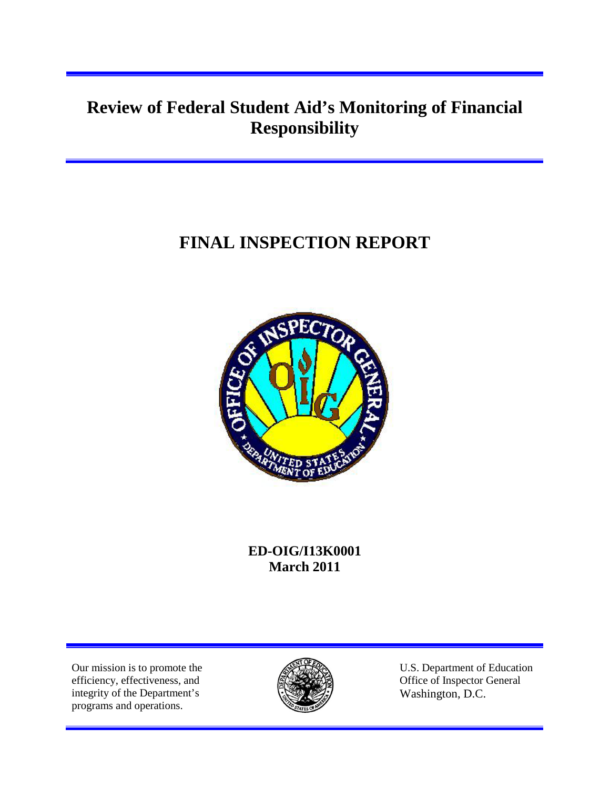## **Review of Federal Student Aid's Monitoring of Financial Responsibility**

# **FINAL INSPECTION REPORT**



## **ED-OIG/I13K0001 March 2011**

Our mission is to promote the efficiency, effectiveness, and integrity of the Department's programs and operations.



U.S. Department of Education Office of Inspector General Washington, D.C.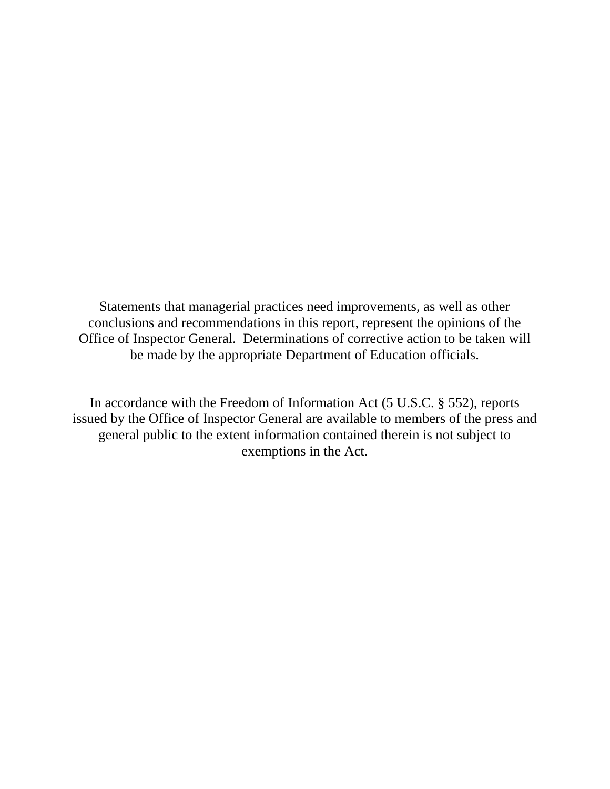Statements that managerial practices need improvements, as well as other conclusions and recommendations in this report, represent the opinions of the Office of Inspector General. Determinations of corrective action to be taken will be made by the appropriate Department of Education officials.

In accordance with the Freedom of Information Act (5 U.S.C. § 552), reports issued by the Office of Inspector General are available to members of the press and general public to the extent information contained therein is not subject to exemptions in the Act.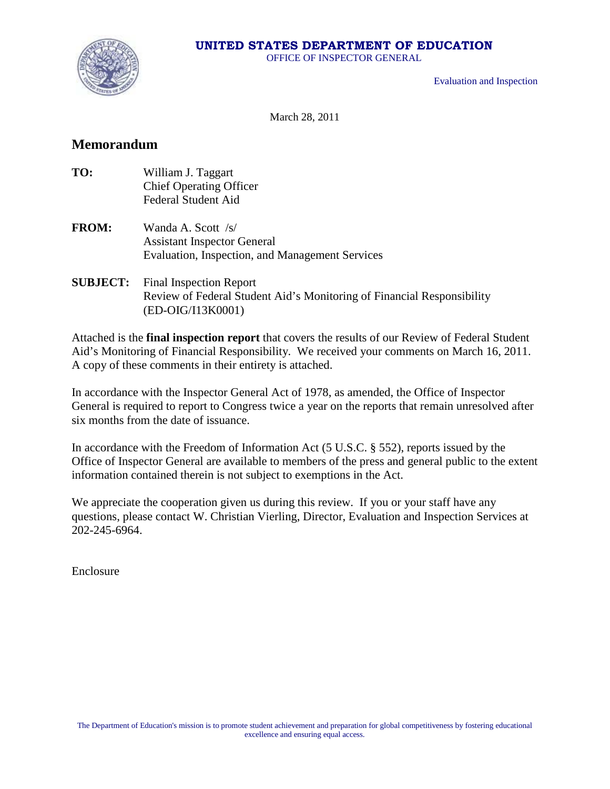#### **UNITED STATES DEPARTMENT OF EDUCATION**

OFFICE OF INSPECTOR GENERAL



Evaluation and Inspection

March 28, 2011

#### **Memorandum**

| TO: | William J. Taggart             |
|-----|--------------------------------|
|     | <b>Chief Operating Officer</b> |
|     | <b>Federal Student Aid</b>     |

- **FROM:** Wanda A. Scott /s/ Assistant Inspector General Evaluation, Inspection, and Management Services
- **SUBJECT: Final Inspection Report** Review of Federal Student Aid's Monitoring of Financial Responsibility (ED-OIG/I13K0001)

Attached is the **final inspection report** that covers the results of our Review of Federal Student Aid's Monitoring of Financial Responsibility. We received your comments on March 16, 2011. A copy of these comments in their entirety is attached.

 In accordance with the Inspector General Act of 1978, as amended, the Office of Inspector General is required to report to Congress twice a year on the reports that remain unresolved after six months from the date of issuance.

 In accordance with the Freedom of Information Act (5 U.S.C. § 552), reports issued by the Office of Inspector General are available to members of the press and general public to the extent information contained therein is not subject to exemptions in the Act.

 We appreciate the cooperation given us during this review. If you or your staff have any questions, please contact W. Christian Vierling, Director, Evaluation and Inspection Services at 202-245-6964.

Enclosure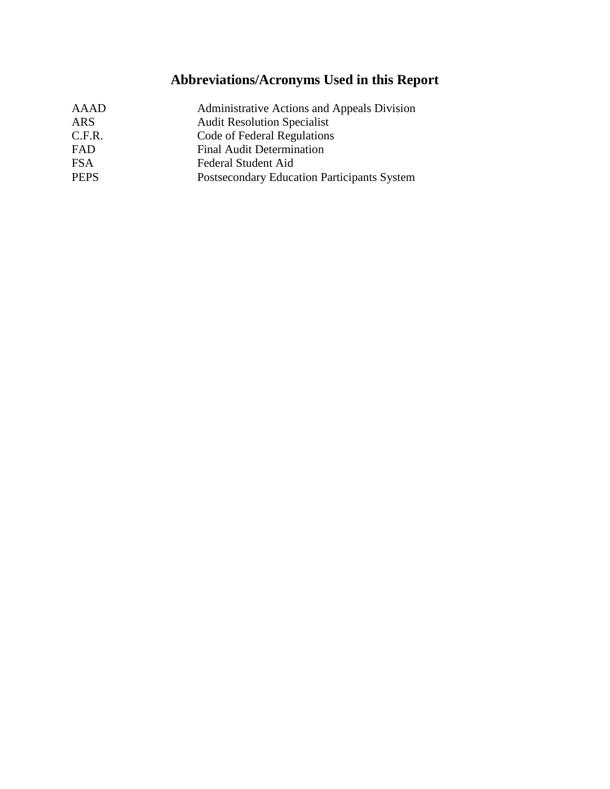# **Abbreviations/Acronyms Used in this Report**

| Administrative Actions and Appeals Division |  |
|---------------------------------------------|--|
| <b>Audit Resolution Specialist</b>          |  |
| Code of Federal Regulations                 |  |
| <b>Final Audit Determination</b>            |  |
| Federal Student Aid                         |  |
| Postsecondary Education Participants System |  |
|                                             |  |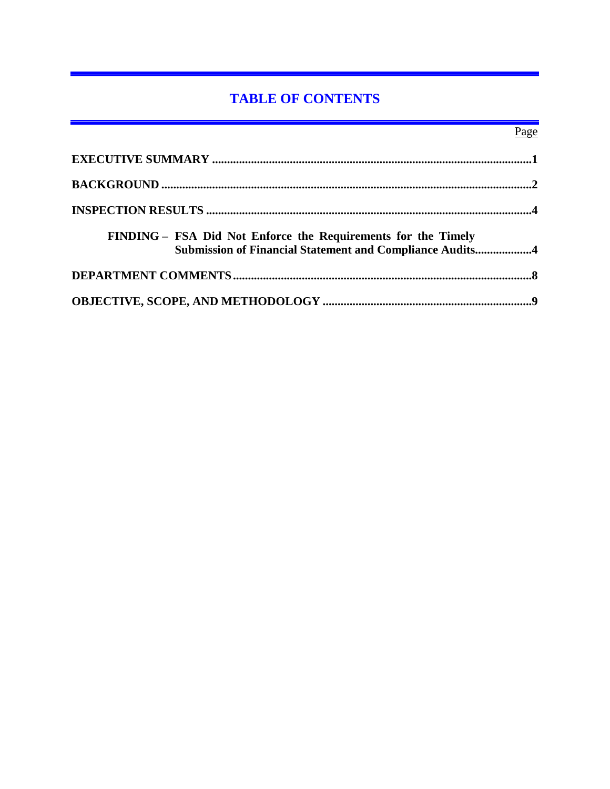## **TABLE OF CONTENTS**

|                                                                                                                           | Page |
|---------------------------------------------------------------------------------------------------------------------------|------|
|                                                                                                                           |      |
|                                                                                                                           |      |
|                                                                                                                           |      |
| FINDING - FSA Did Not Enforce the Requirements for the Timely<br>Submission of Financial Statement and Compliance Audits4 |      |
|                                                                                                                           |      |
|                                                                                                                           |      |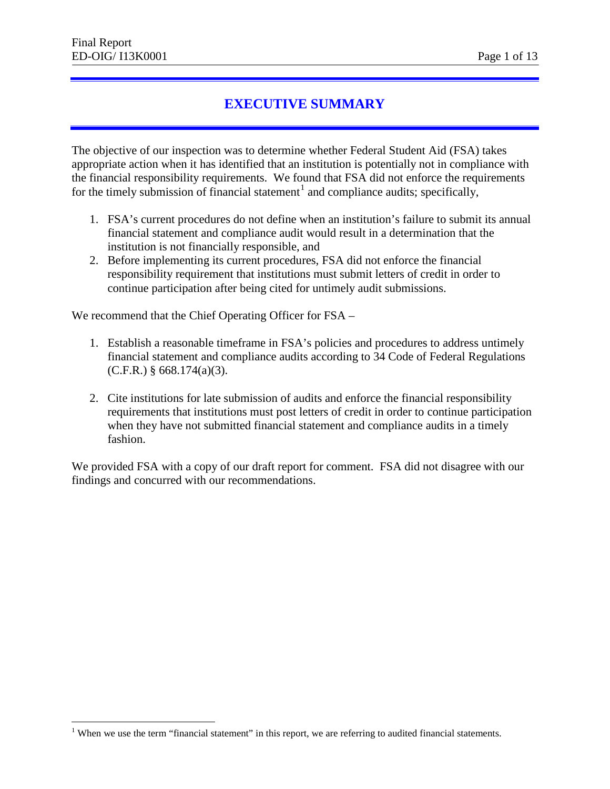$\overline{a}$ 

### **EXECUTIVE SUMMARY**

<span id="page-5-0"></span> The objective of our inspection was to determine whether Federal Student Aid (FSA) takes the financial responsibility requirements. We found that FSA did not enforce the requirements appropriate action when it has identified that an institution is potentially not in compliance with for the timely submission of financial statement<sup>1</sup> and compliance audits; specifically,

- 1. FSA's current procedures do not define when an institution's failure to submit its annual institution is not financially responsible, and financial statement and compliance audit would result in a determination that the
- responsibility requirement that institutions must submit letters of credit in order to 2. Before implementing its current procedures, FSA did not enforce the financial continue participation after being cited for untimely audit submissions.

We recommend that the Chief Operating Officer for FSA –

- $(C.F.R.)$  § 668.174(a)(3). 1. Establish a reasonable timeframe in FSA's policies and procedures to address untimely financial statement and compliance audits according to 34 Code of Federal Regulations
- 2. Cite institutions for late submission of audits and enforce the financial responsibility requirements that institutions must post letters of credit in order to continue participation when they have not submitted financial statement and compliance audits in a timely fashion.

We provided FSA with a copy of our draft report for comment. FSA did not disagree with our findings and concurred with our recommendations.

<span id="page-5-1"></span><sup>&</sup>lt;sup>1</sup> When we use the term "financial statement" in this report, we are referring to audited financial statements.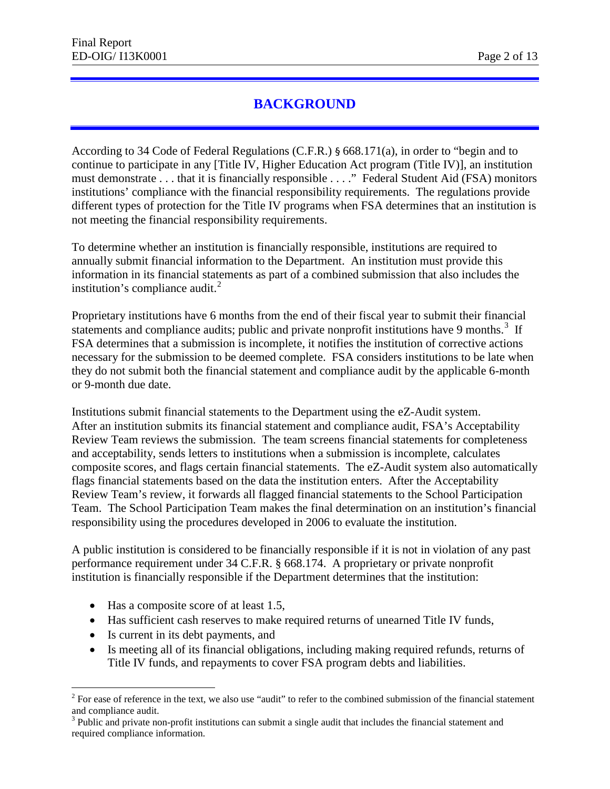### **BACKGROUND**

<span id="page-6-0"></span> According to 34 Code of Federal Regulations (C.F.R.) § 668.171(a), in order to "begin and to continue to participate in any [Title IV, Higher Education Act program (Title IV)], an institution must demonstrate . . . that it is financially responsible . . . ." Federal Student Aid (FSA) monitors institutions' compliance with the financial responsibility requirements. The regulations provide different types of protection for the Title IV programs when FSA determines that an institution is not meeting the financial responsibility requirements.

 information in its financial statements as part of a combined submission that also includes the To determine whether an institution is financially responsible, institutions are required to annually submit financial information to the Department. An institution must provide this institution's compliance audit. $^{2}$  $^{2}$  $^{2}$ 

statements and compliance audits; public and private nonprofit institutions have 9 months.<sup>3</sup> If FSA determines that a submission is incomplete, it notifies the institution of corrective actions necessary for the submission to be deemed complete. FSA considers institutions to be late when they do not submit both the financial statement and compliance audit by the applicable 6-month Proprietary institutions have 6 months from the end of their fiscal year to submit their financial or 9-month due date.

Institutions submit financial statements to the Department using the eZ-Audit system. Institutions submit financial statements to the Department using the eZ-Audit system. After an institution submits its financial statement and compliance audit, FSA's Acceptability flags financial statements based on the data the institution enters. After the Acceptability Review Team reviews the submission. The team screens financial statements for completeness and acceptability, sends letters to institutions when a submission is incomplete, calculates composite scores, and flags certain financial statements. The eZ-Audit system also automatically Review Team's review, it forwards all flagged financial statements to the School Participation Team. The School Participation Team makes the final determination on an institution's financial responsibility using the procedures developed in 2006 to evaluate the institution.

 A public institution is considered to be financially responsible if it is not in violation of any past performance requirement under 34 C.F.R. § 668.174. A proprietary or private nonprofit institution is financially responsible if the Department determines that the institution:

- Has a composite score of at least 1.5,
- Has sufficient cash reserves to make required returns of unearned Title IV funds,
- • Is current in its debt payments, and

-

• Is meeting all of its financial obligations, including making required refunds, returns of Title IV funds, and repayments to cover FSA program debts and liabilities.

<span id="page-6-1"></span> $2^{2}$  For ease of reference in the text, we also use "audit" to refer to the combined submission of the financial statement and compliance audit.<br><sup>3</sup> Public and private non-profit institutions can submit a single audit that includes the financial statement and

<span id="page-6-2"></span>required compliance information.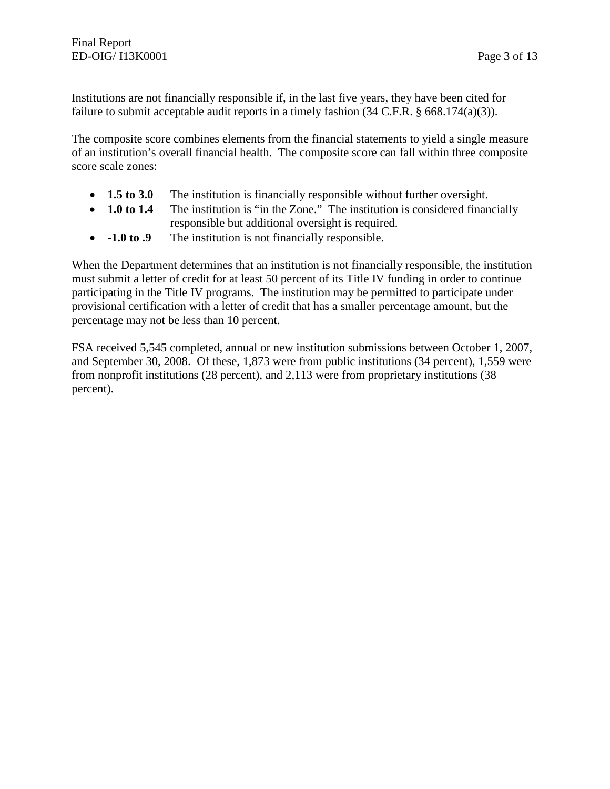Institutions are not financially responsible if, in the last five years, they have been cited for failure to submit acceptable audit reports in a timely fashion (34 C.F.R. § 668.174(a)(3)).

The composite score combines elements from the financial statements to yield a single measure of an institution's overall financial health. The composite score can fall within three composite score scale zones:

- **1.5 to 3.0** The institution is financially responsible without further oversight.
- responsible but additional oversight is required. • **1.0 to 1.4** The institution is "in the Zone." The institution is considered financially
- **-1.0 to .9** The institution is not financially responsible.

 must submit a letter of credit for at least 50 percent of its Title IV funding in order to continue When the Department determines that an institution is not financially responsible, the institution participating in the Title IV programs. The institution may be permitted to participate under provisional certification with a letter of credit that has a smaller percentage amount, but the percentage may not be less than 10 percent.

 and September 30, 2008. Of these, 1,873 were from public institutions (34 percent), 1,559 were FSA received 5,545 completed, annual or new institution submissions between October 1, 2007, from nonprofit institutions (28 percent), and 2,113 were from proprietary institutions (38 percent).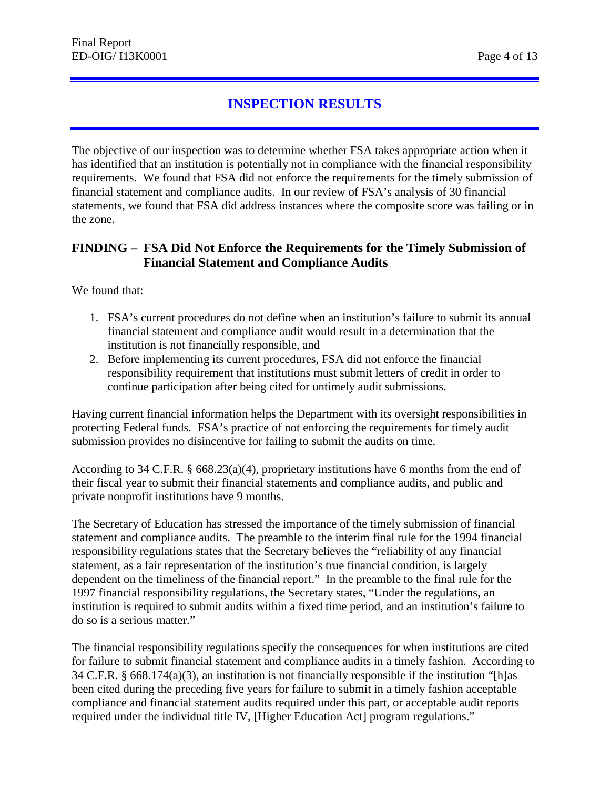## **INSPECTION RESULTS**

<span id="page-8-0"></span> The objective of our inspection was to determine whether FSA takes appropriate action when it financial statement and compliance audits. In our review of FSA's analysis of 30 financial has identified that an institution is potentially not in compliance with the financial responsibility requirements. We found that FSA did not enforce the requirements for the timely submission of statements, we found that FSA did address instances where the composite score was failing or in the zone.

#### <span id="page-8-1"></span> **FINDING – FSA Did Not Enforce the Requirements for the Timely Submission of Financial Statement and Compliance Audits**

We found that:

- institution is not financially responsible, and 1. FSA's current procedures do not define when an institution's failure to submit its annual financial statement and compliance audit would result in a determination that the
- 2. Before implementing its current procedures, FSA did not enforce the financial responsibility requirement that institutions must submit letters of credit in order to continue participation after being cited for untimely audit submissions.

Having current financial information helps the Department with its oversight responsibilities in protecting Federal funds. FSA's practice of not enforcing the requirements for timely audit submission provides no disincentive for failing to submit the audits on time.

 According to 34 C.F.R. § 668.23(a)(4), proprietary institutions have 6 months from the end of their fiscal year to submit their financial statements and compliance audits, and public and private nonprofit institutions have 9 months.

The Secretary of Education has stressed the importance of the timely submission of financial statement and compliance audits. The preamble to the interim final rule for the 1994 financial responsibility regulations states that the Secretary believes the "reliability of any financial statement, as a fair representation of the institution's true financial condition, is largely dependent on the timeliness of the financial report." In the preamble to the final rule for the 1997 financial responsibility regulations, the Secretary states, "Under the regulations, an institution is required to submit audits within a fixed time period, and an institution's failure to do so is a serious matter."

 for failure to submit financial statement and compliance audits in a timely fashion. According to The financial responsibility regulations specify the consequences for when institutions are cited 34 C.F.R. § 668.174(a)(3), an institution is not financially responsible if the institution "[h]as been cited during the preceding five years for failure to submit in a timely fashion acceptable compliance and financial statement audits required under this part, or acceptable audit reports required under the individual title IV, [Higher Education Act] program regulations."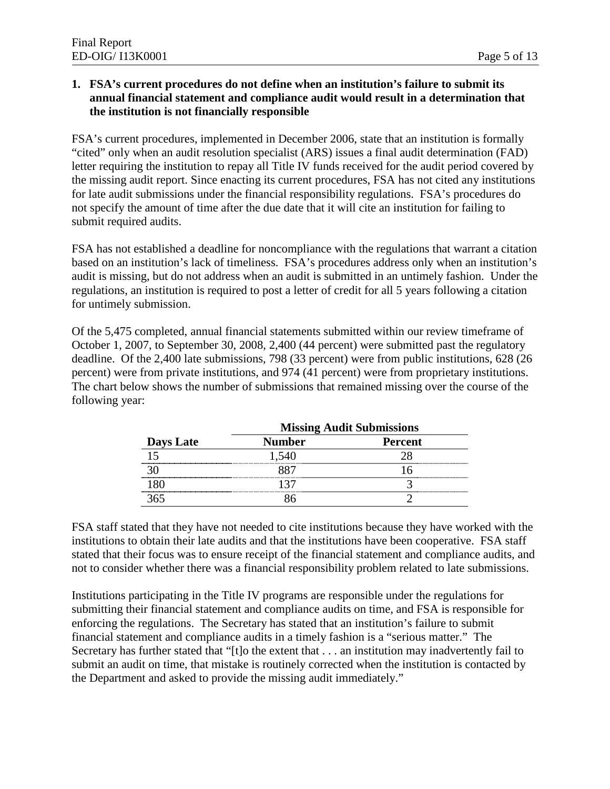#### **1. FSA's current procedures do not define when an institution's failure to submit its annual financial statement and compliance audit would result in a determination that the institution is not financially responsible**

 FSA's current procedures, implemented in December 2006, state that an institution is formally letter requiring the institution to repay all Title IV funds received for the audit period covered by for late audit submissions under the financial responsibility regulations. FSA's procedures do not specify the amount of time after the due date that it will cite an institution for failing to submit required audits. "cited" only when an audit resolution specialist (ARS) issues a final audit determination (FAD) the missing audit report. Since enacting its current procedures, FSA has not cited any institutions

 based on an institution's lack of timeliness. FSA's procedures address only when an institution's regulations, an institution is required to post a letter of credit for all 5 years following a citation FSA has not established a deadline for noncompliance with the regulations that warrant a citation audit is missing, but do not address when an audit is submitted in an untimely fashion. Under the for untimely submission.

 percent) were from private institutions, and 974 (41 percent) were from proprietary institutions. Of the 5,475 completed, annual financial statements submitted within our review timeframe of October 1, 2007, to September 30, 2008, 2,400 (44 percent) were submitted past the regulatory deadline. Of the 2,400 late submissions, 798 (33 percent) were from public institutions, 628 (26 The chart below shows the number of submissions that remained missing over the course of the following year:

| <b>Days Late</b> |        | <b>Missing Audit Submissions</b> |
|------------------|--------|----------------------------------|
|                  | Number | <b>Percent</b>                   |
|                  |        |                                  |
|                  |        |                                  |
|                  |        |                                  |
|                  |        |                                  |

 FSA staff stated that they have not needed to cite institutions because they have worked with the institutions to obtain their late audits and that the institutions have been cooperative. FSA staff stated that their focus was to ensure receipt of the financial statement and compliance audits, and not to consider whether there was a financial responsibility problem related to late submissions.

 Institutions participating in the Title IV programs are responsible under the regulations for submitting their financial statement and compliance audits on time, and FSA is responsible for financial statement and compliance audits in a timely fashion is a "serious matter." The enforcing the regulations. The Secretary has stated that an institution's failure to submit Secretary has further stated that "[t]o the extent that . . . an institution may inadvertently fail to submit an audit on time, that mistake is routinely corrected when the institution is contacted by the Department and asked to provide the missing audit immediately."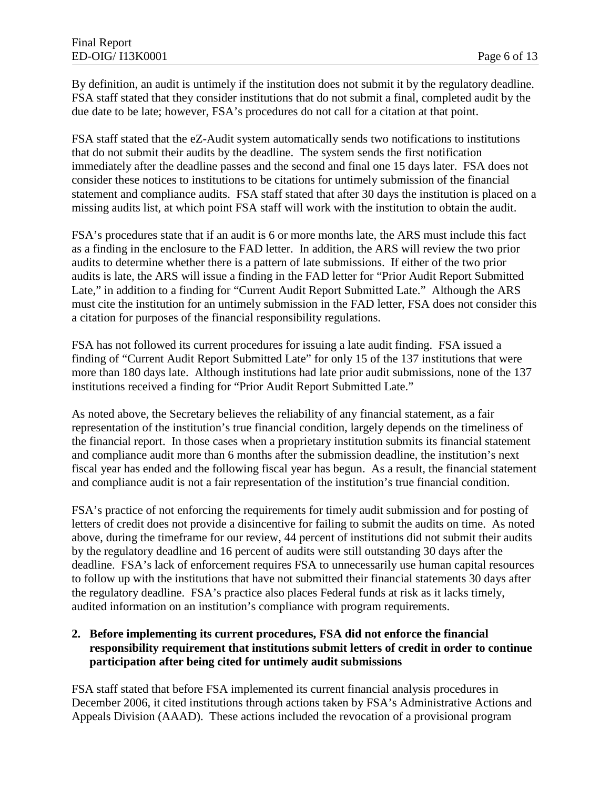due date to be late; however, FSA's procedures do not call for a citation at that point. By definition, an audit is untimely if the institution does not submit it by the regulatory deadline. FSA staff stated that they consider institutions that do not submit a final, completed audit by the

 immediately after the deadline passes and the second and final one 15 days later. FSA does not consider these notices to institutions to be citations for untimely submission of the financial FSA staff stated that the eZ-Audit system automatically sends two notifications to institutions that do not submit their audits by the deadline. The system sends the first notification statement and compliance audits. FSA staff stated that after 30 days the institution is placed on a missing audits list, at which point FSA staff will work with the institution to obtain the audit.

 audits to determine whether there is a pattern of late submissions. If either of the two prior audits is late, the ARS will issue a finding in the FAD letter for "Prior Audit Report Submitted must cite the institution for an untimely submission in the FAD letter, FSA does not consider this FSA's procedures state that if an audit is 6 or more months late, the ARS must include this fact as a finding in the enclosure to the FAD letter. In addition, the ARS will review the two prior Late," in addition to a finding for "Current Audit Report Submitted Late." Although the ARS a citation for purposes of the financial responsibility regulations.

 FSA has not followed its current procedures for issuing a late audit finding. FSA issued a finding of "Current Audit Report Submitted Late" for only 15 of the 137 institutions that were more than 180 days late. Although institutions had late prior audit submissions, none of the 137 institutions received a finding for "Prior Audit Report Submitted Late."

 the financial report. In those cases when a proprietary institution submits its financial statement fiscal year has ended and the following fiscal year has begun. As a result, the financial statement and compliance audit is not a fair representation of the institution's true financial condition. As noted above, the Secretary believes the reliability of any financial statement, as a fair representation of the institution's true financial condition, largely depends on the timeliness of and compliance audit more than 6 months after the submission deadline, the institution's next

 letters of credit does not provide a disincentive for failing to submit the audits on time. As noted by the regulatory deadline and 16 percent of audits were still outstanding 30 days after the the regulatory deadline. FSA's practice also places Federal funds at risk as it lacks timely, FSA's practice of not enforcing the requirements for timely audit submission and for posting of above, during the timeframe for our review, 44 percent of institutions did not submit their audits deadline. FSA's lack of enforcement requires FSA to unnecessarily use human capital resources to follow up with the institutions that have not submitted their financial statements 30 days after audited information on an institution's compliance with program requirements.

#### **2. Before implementing its current procedures, FSA did not enforce the financial responsibility requirement that institutions submit letters of credit in order to continue participation after being cited for untimely audit submissions**

 Appeals Division (AAAD). These actions included the revocation of a provisional program FSA staff stated that before FSA implemented its current financial analysis procedures in December 2006, it cited institutions through actions taken by FSA's Administrative Actions and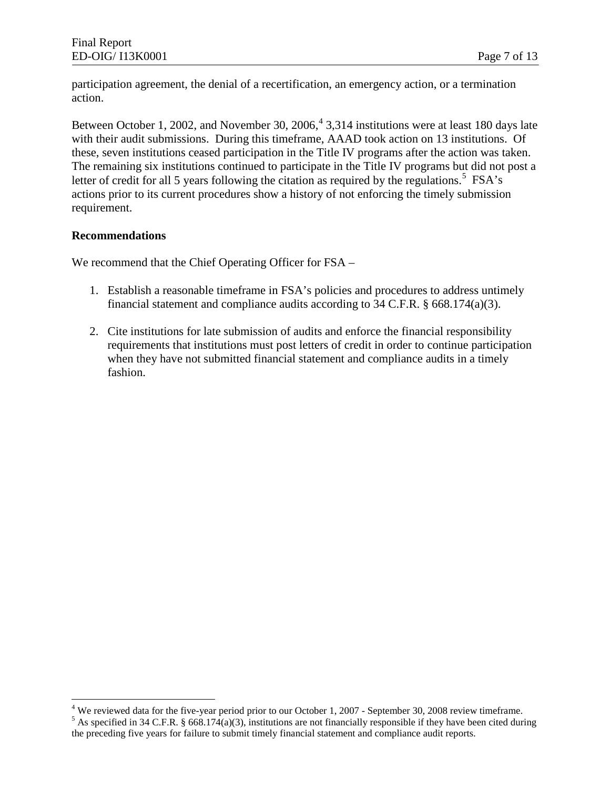participation agreement, the denial of a recertification, an emergency action, or a termination action.

 these, seven institutions ceased participation in the Title IV programs after the action was taken. The remaining six institutions continued to participate in the Title IV programs but did not post a letter of credit for all [5](#page-11-1) years following the citation as required by the regulations.<sup>5</sup> FSA's actions prior to its current procedures show a history of not enforcing the timely submission Between October 1, 2002, and November 30, 2006,  $4\overline{3,314}$  $4\overline{3,314}$  institutions were at least 180 days late with their audit submissions. During this timeframe, AAAD took action on 13 institutions. Of requirement.

#### **Recommendations**

<u>.</u>

We recommend that the Chief Operating Officer for FSA –

- 1. Establish a reasonable timeframe in FSA's policies and procedures to address untimely financial statement and compliance audits according to 34 C.F.R. § 668.174(a)(3).
- 2. Cite institutions for late submission of audits and enforce the financial responsibility requirements that institutions must post letters of credit in order to continue participation when they have not submitted financial statement and compliance audits in a timely fashion.

<span id="page-11-1"></span><span id="page-11-0"></span>

 the preceding five years for failure to submit timely financial statement and compliance audit reports. <sup>4</sup> We reviewed data for the five-year period prior to our October 1, 2007 - September 30, 2008 review timeframe.<br><sup>5</sup> As specified in 34 C.F.R. § 668.174(a)(3), institutions are not financially responsible if they have be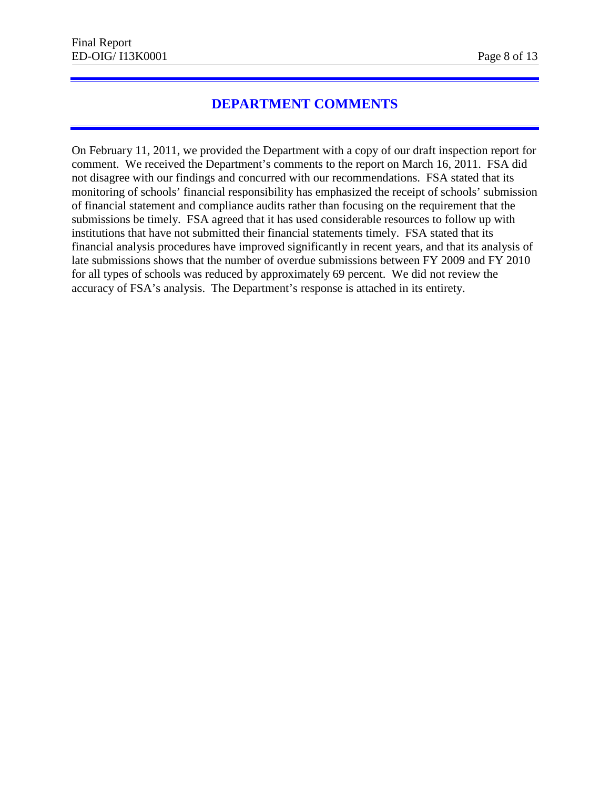### **DEPARTMENT COMMENTS**

<span id="page-12-0"></span> submissions be timely. FSA agreed that it has used considerable resources to follow up with On February 11, 2011, we provided the Department with a copy of our draft inspection report for comment. We received the Department's comments to the report on March 16, 2011. FSA did not disagree with our findings and concurred with our recommendations. FSA stated that its monitoring of schools' financial responsibility has emphasized the receipt of schools' submission of financial statement and compliance audits rather than focusing on the requirement that the institutions that have not submitted their financial statements timely. FSA stated that its financial analysis procedures have improved significantly in recent years, and that its analysis of late submissions shows that the number of overdue submissions between FY 2009 and FY 2010 for all types of schools was reduced by approximately 69 percent. We did not review the accuracy of FSA's analysis. The Department's response is attached in its entirety.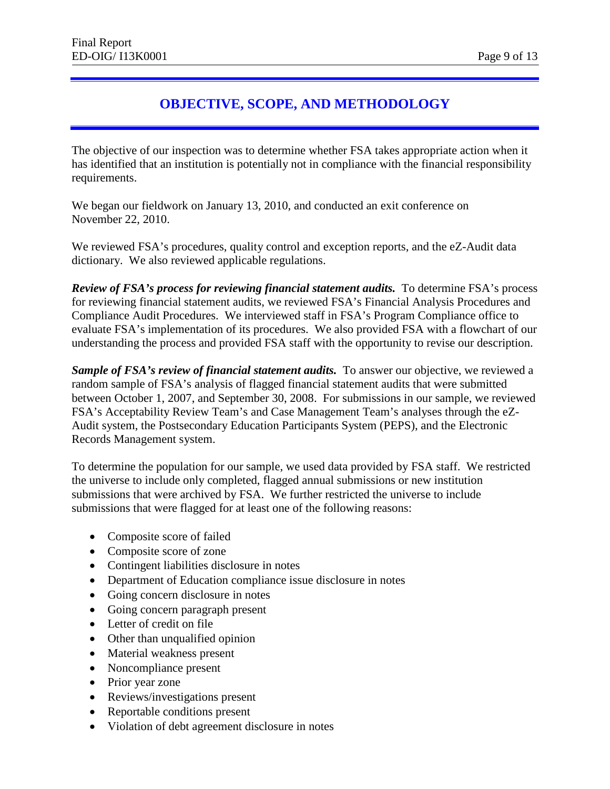## **OBJECTIVE, SCOPE, AND METHODOLOGY**

<span id="page-13-0"></span>The objective of our inspection was to determine whether FSA takes appropriate action when it has identified that an institution is potentially not in compliance with the financial responsibility requirements.

We began our fieldwork on January 13, 2010, and conducted an exit conference on November 22, 2010.

We reviewed FSA's procedures, quality control and exception reports, and the eZ-Audit data dictionary. We also reviewed applicable regulations.

 *Review of FSA's process for reviewing financial statement audits.* To determine FSA's process for reviewing financial statement audits, we reviewed FSA's Financial Analysis Procedures and Compliance Audit Procedures. We interviewed staff in FSA's Program Compliance office to evaluate FSA's implementation of its procedures. We also provided FSA with a flowchart of our understanding the process and provided FSA staff with the opportunity to revise our description.

Sample of FSA's review of financial statement audits. To answer our objective, we reviewed a random sample of FSA's analysis of flagged financial statement audits that were submitted between October 1, 2007, and September 30, 2008. For submissions in our sample, we reviewed FSA's Acceptability Review Team's and Case Management Team's analyses through the eZ-Audit system, the Postsecondary Education Participants System (PEPS), and the Electronic Records Management system.

 submissions that were flagged for at least one of the following reasons: To determine the population for our sample, we used data provided by FSA staff. We restricted the universe to include only completed, flagged annual submissions or new institution submissions that were archived by FSA. We further restricted the universe to include

- Composite score of failed
- Composite score of zone
- Contingent liabilities disclosure in notes
- Department of Education compliance issue disclosure in notes
- Going concern disclosure in notes
- Going concern paragraph present
- Letter of credit on file
- Other than unqualified opinion
- Material weakness present
- Noncompliance present
- Prior year zone
- Reviews/investigations present
- Reportable conditions present
- Violation of debt agreement disclosure in notes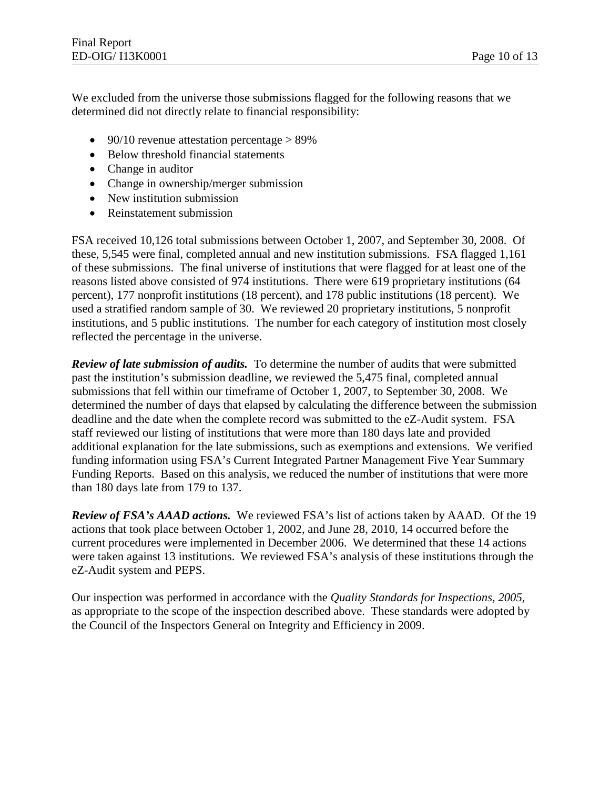We excluded from the universe those submissions flagged for the following reasons that we determined did not directly relate to financial responsibility:

- 90/10 revenue attestation percentage  $> 89\%$
- Below threshold financial statements
- Change in auditor
- Change in ownership/merger submission
- New institution submission
- Reinstatement submission

FSA received 10,126 total submissions between October 1, 2007, and September 30, 2008. Of these, 5,545 were final, completed annual and new institution submissions. FSA flagged 1,161 of these submissions. The final universe of institutions that were flagged for at least one of the reasons listed above consisted of 974 institutions. There were 619 proprietary institutions (64 percent), 177 nonprofit institutions (18 percent), and 178 public institutions (18 percent). We used a stratified random sample of 30. We reviewed 20 proprietary institutions, 5 nonprofit institutions, and 5 public institutions. The number for each category of institution most closely reflected the percentage in the universe.

 *Review of late submission of audits.* To determine the number of audits that were submitted submissions that fell within our timeframe of October 1, 2007, to September 30, 2008. We funding information using FSA's Current Integrated Partner Management Five Year Summary Funding Reports. Based on this analysis, we reduced the number of institutions that were more past the institution's submission deadline, we reviewed the 5,475 final, completed annual determined the number of days that elapsed by calculating the difference between the submission deadline and the date when the complete record was submitted to the eZ-Audit system. FSA staff reviewed our listing of institutions that were more than 180 days late and provided additional explanation for the late submissions, such as exemptions and extensions. We verified than 180 days late from 179 to 137.

 *Review of FSA's AAAD actions.* We reviewed FSA's list of actions taken by AAAD. Of the 19 actions that took place between October 1, 2002, and June 28, 2010, 14 occurred before the current procedures were implemented in December 2006. We determined that these 14 actions were taken against 13 institutions. We reviewed FSA's analysis of these institutions through the eZ-Audit system and PEPS.

Our inspection was performed in accordance with the *Quality Standards for Inspections, 2005,*  as appropriate to the scope of the inspection described above. These standards were adopted by the Council of the Inspectors General on Integrity and Efficiency in 2009.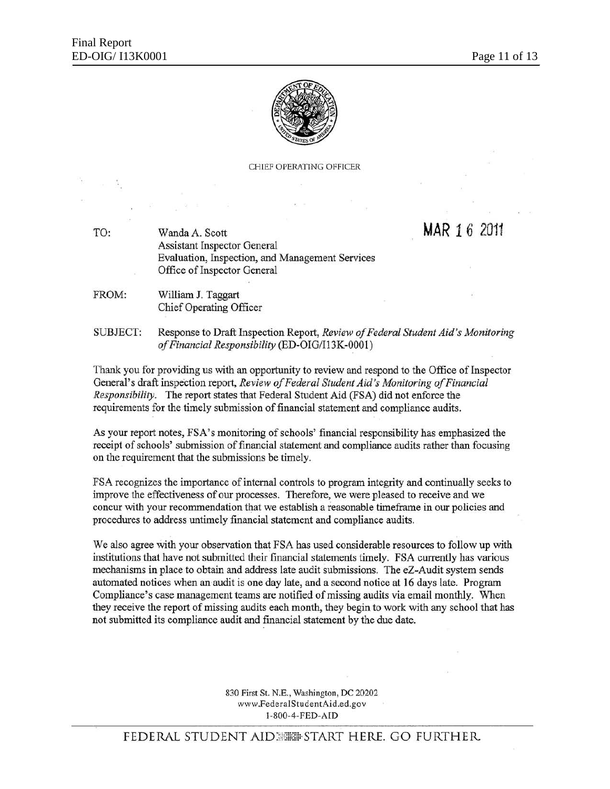

#### CHIEF OPERATING OFFICER

MAR 16 2011

*TO:* Wanda A. Scott Assistant [nspector General Evaluation, Inspection, and Management Services Office of Inspector General

- FROM: William J. Taggart Chief Operating Officer
- SUBJECT: Response to Draft Inspection Report, *Review of Federal Student Aid's Monitoring of Financial Responsibility* (ED-OIG/I13K-OOO I)

Thank you for providing us with an opportunity to review and respond to the Office of Inspector General's draft inspection report, *Review 0/ Federal Student Aid's Monitoring of Financial Responsibility.* Ibe report states that Federal Student Aid (FSA) did not enforce the requirements for the timely submission of financial statement and compliance audits.

As your report notes, FSA's monitoring of schools' financial responsibility has emphasized the receipt of schools' submission of financial statement and compliance audits rather than focusing on the requirement that the submissions be timely.

FSA recognizes the importance of internal controls to program integrity and continually seeks to improve the effectiveness of our processes. Therefore, we were pleased to receive and we concur with your recommendation that we establish a reasonable timeframe in our policies and procedures to address untimely fmancial statement and compliance audits.

We also agree with your observation that FSA has used considerable resources to follow up with institutions that have not submitted their financial statements timely. FSA currently has various mechanisms in place to obtain and address late audit submissions. The eZ-Audit system sends automated notices when an audit is one day late, and a second notice at 16 days late. Program Compliance's case management teams are notified of missing audits via email monthly. Wben they receive the report of missing audits each month, they begin to work with any school that has not submitted its compliance audit and fmancial statement by the due date.

> 830 First St. N.E., Washington, DC 20202 www.FederaIStudentAid.ed.goy 1-800-4-FED-AID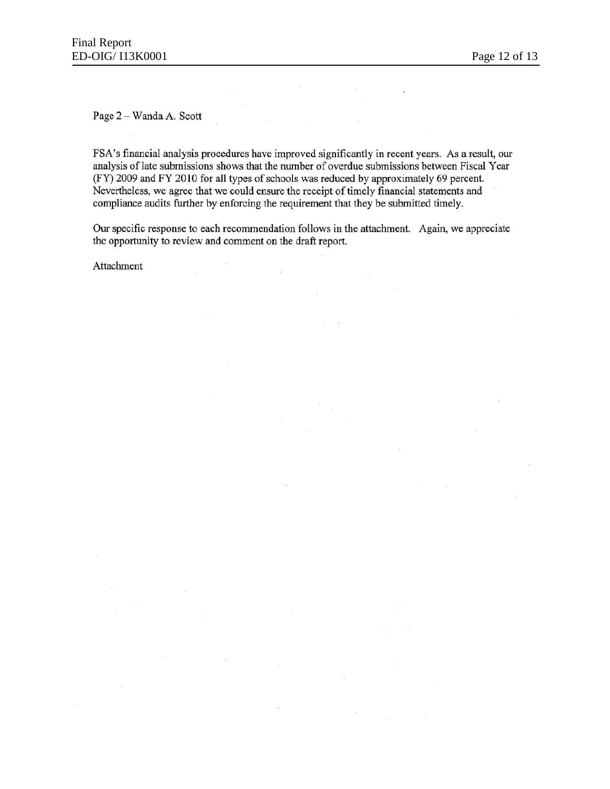Page 2 - Wanda A. Scott

FSA's financial analysis procedures have improved significantly in recent years. As a result, our analysis of late submissions shows that the number of overdue submissions between Fiscal Year (FY) 2009 and FY 2010 for all types of schools was reduced by approximately 69 percent. Nevertheless, we agree that we could ensure the receipt of timely financial statements and compliance audits further by enforcing the requirement that they be submitted timely.

Our specific response to each recommendation follows in the attachment. Again, we appreciate the opportunity to review and comment on the draft report.

Attachment